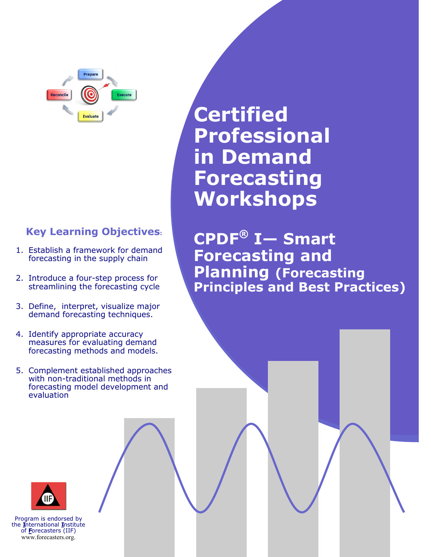Prepare Execute **Reconcile Evaluate** 

### **Key Learning Objectives:**

- 1. Establish a framework for demand forecasting in the supply chain
- 2. Introduce a four-step process for streamlining the forecasting cycle
- 3. Define, interpret, visualize major demand forecasting techniques.
- 4. Identify appropriate accuracy measures for evaluating demand forecasting methods and models.
- 5. Complement established approaches with non-traditional methods in forecasting model development and evaluation

**Certified Professional in Demand Forecasting Workshops**

**CPDF® I— Smart Forecasting and Planning (Forecasting Principles and Best Practices)**



Program is endorsed by the **I**nternational **I**nstitute of **F**orecasters (IIF) www.forecasters.org.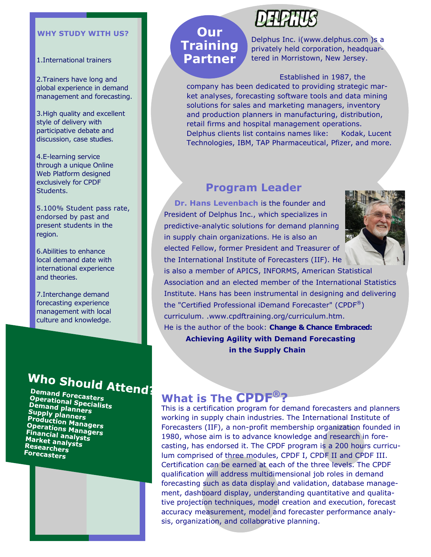#### **WHY STUDY WITH US?**

1.International trainers

2.Trainers have long and global experience in demand management and forecasting.

3.High quality and excellent style of delivery with participative debate and discussion, case studies.

4.E-learning service through a unique Online Web Platform designed exclusively for CPDF Students.

5.100% Student pass rate, endorsed by past and present students in the region.

6.Abilities to enhance local demand date with international experience and theories.

7.Interchange demand forecasting experience management with local culture and knowledge.

# Who Should Attend:

Demand Forecasters **Officially Forecasters**<br>Operational Specialists<br>Demand planners **Demand planners**<br>Supply planners **Supply planner**<br>**Productionners Papply planners<br>Production Managers<br>Operations Managers Trouuction Managers<br>Operations Managers<br>Financial analysts Prefations Manag<br>Financial analysts<br>Market analysts Market analys<br>Research**<br>Research Researchers Forecasters



## **Our Training Partner**

Delphus Inc. i(www.delphus.com )s a privately held corporation, headquartered in Morristown, New Jersey.

Established in 1987, the

company has been dedicated to providing strategic market analyses, forecasting software tools and data mining solutions for sales and marketing managers, inventory and production planners in manufacturing, distribution, retail firms and hospital management operations. Delphus clients list contains names like: Kodak, Lucent Technologies, IBM, TAP Pharmaceutical, Pfizer, and more.

### **Program Leader**

 **Dr. Hans Levenbach** is the founder and President of Delphus Inc., which specializes in predictive-analytic solutions for demand planning in supply chain organizations. He is also an elected Fellow, former President and Treasurer of the International Institute of Forecasters (IIF). He



is also a member of APICS, INFORMS, American Statistical Association and an elected member of the International Statistics Institute. Hans has been instrumental in designing and delivering the "Certified Professional iDemand Forecaster" (CPDF $^{\circledR}$ ) curriculum. .www.cpdftraining.org/curriculum.htm. He is the author of the book: **Change & Chance Embraced: Achieving Agility with Demand Forecasting in the Supply Chain** 

## **What is The CPDF®?**

This is a certification program for demand forecasters and planners working in supply chain industries. The International Institute of Forecasters (IIF), a non-profit membership organization founded in 1980, whose aim is to advance knowledge and research in forecasting, has endorsed it. The CPDF program is a 200 hours curriculum comprised of three modules, CPDF I, CPDF II and CPDF III. Certification can be earned at each of the three levels. The CPDF qualification will address multidimensional job roles in demand forecasting such as data display and validation, database management, dashboard display, understanding quantitative and qualitative projection techniques, model creation and execution, forecast accuracy measurement, model and forecaster performance analysis, organization, and collaborative planning.